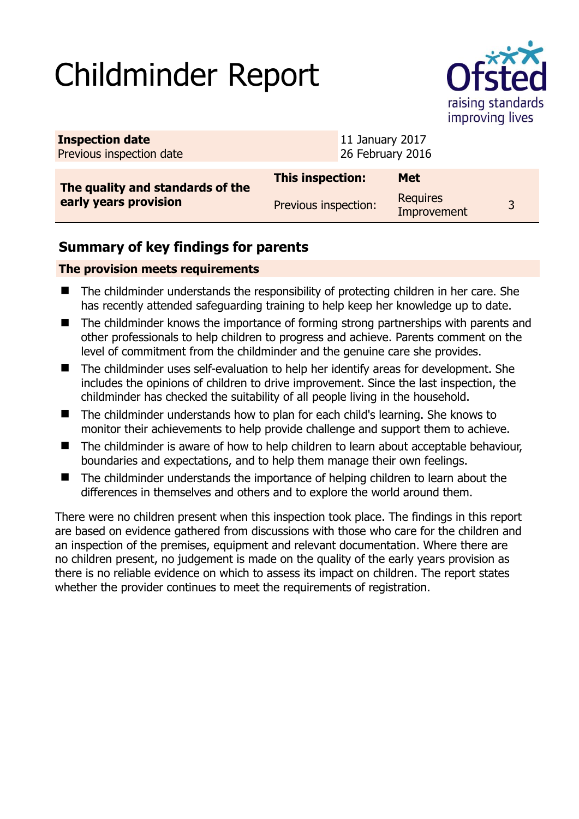# Childminder Report



| <b>Inspection date</b><br>Previous inspection date |                      |  | 11 January 2017<br>26 February 2016 |  |  |
|----------------------------------------------------|----------------------|--|-------------------------------------|--|--|
| The quality and standards of the                   | This inspection:     |  | <b>Met</b>                          |  |  |
| early years provision                              | Previous inspection: |  | <b>Requires</b><br>Improvement      |  |  |

## **Summary of key findings for parents**

### **The provision meets requirements**

- The childminder understands the responsibility of protecting children in her care. She has recently attended safeguarding training to help keep her knowledge up to date.
- The childminder knows the importance of forming strong partnerships with parents and other professionals to help children to progress and achieve. Parents comment on the level of commitment from the childminder and the genuine care she provides.
- The childminder uses self-evaluation to help her identify areas for development. She includes the opinions of children to drive improvement. Since the last inspection, the childminder has checked the suitability of all people living in the household.
- The childminder understands how to plan for each child's learning. She knows to monitor their achievements to help provide challenge and support them to achieve.
- The childminder is aware of how to help children to learn about acceptable behaviour, boundaries and expectations, and to help them manage their own feelings.
- The childminder understands the importance of helping children to learn about the differences in themselves and others and to explore the world around them.

There were no children present when this inspection took place. The findings in this report are based on evidence gathered from discussions with those who care for the children and an inspection of the premises, equipment and relevant documentation. Where there are no children present, no judgement is made on the quality of the early years provision as there is no reliable evidence on which to assess its impact on children. The report states whether the provider continues to meet the requirements of registration.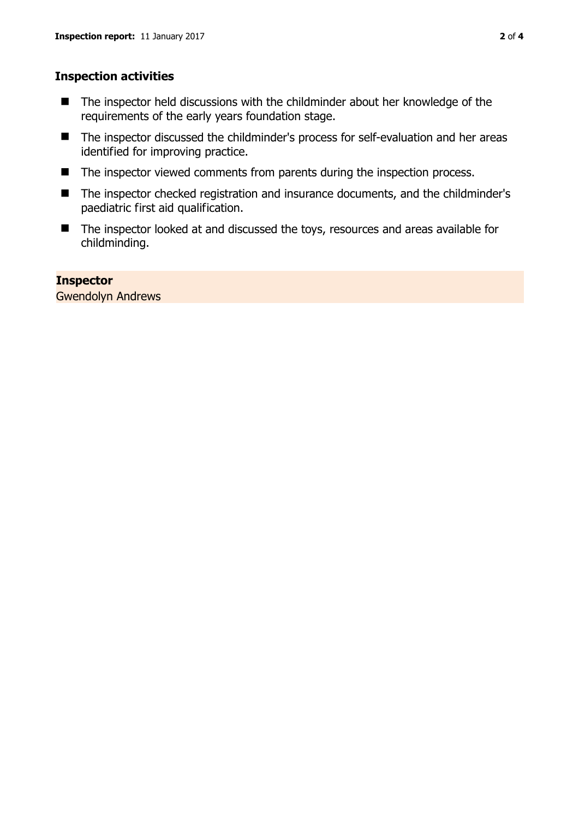#### **Inspection activities**

- The inspector held discussions with the childminder about her knowledge of the requirements of the early years foundation stage.
- The inspector discussed the childminder's process for self-evaluation and her areas identified for improving practice.
- The inspector viewed comments from parents during the inspection process.
- The inspector checked registration and insurance documents, and the childminder's paediatric first aid qualification.
- The inspector looked at and discussed the toys, resources and areas available for childminding.

#### **Inspector**

Gwendolyn Andrews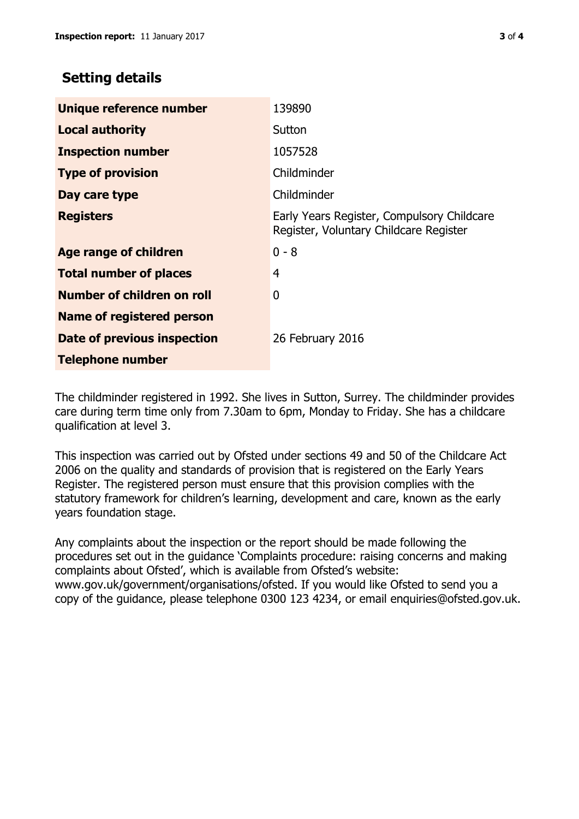## **Setting details**

| Unique reference number       | 139890                                                                               |  |
|-------------------------------|--------------------------------------------------------------------------------------|--|
| <b>Local authority</b>        | Sutton                                                                               |  |
| <b>Inspection number</b>      | 1057528                                                                              |  |
| <b>Type of provision</b>      | Childminder                                                                          |  |
| Day care type                 | Childminder                                                                          |  |
| <b>Registers</b>              | Early Years Register, Compulsory Childcare<br>Register, Voluntary Childcare Register |  |
| <b>Age range of children</b>  | $0 - 8$                                                                              |  |
| <b>Total number of places</b> | 4                                                                                    |  |
| Number of children on roll    | 0                                                                                    |  |
| Name of registered person     |                                                                                      |  |
| Date of previous inspection   | 26 February 2016                                                                     |  |
| <b>Telephone number</b>       |                                                                                      |  |

The childminder registered in 1992. She lives in Sutton, Surrey. The childminder provides care during term time only from 7.30am to 6pm, Monday to Friday. She has a childcare qualification at level 3.

This inspection was carried out by Ofsted under sections 49 and 50 of the Childcare Act 2006 on the quality and standards of provision that is registered on the Early Years Register. The registered person must ensure that this provision complies with the statutory framework for children's learning, development and care, known as the early years foundation stage.

Any complaints about the inspection or the report should be made following the procedures set out in the guidance 'Complaints procedure: raising concerns and making complaints about Ofsted', which is available from Ofsted's website: www.gov.uk/government/organisations/ofsted. If you would like Ofsted to send you a copy of the guidance, please telephone 0300 123 4234, or email enquiries@ofsted.gov.uk.